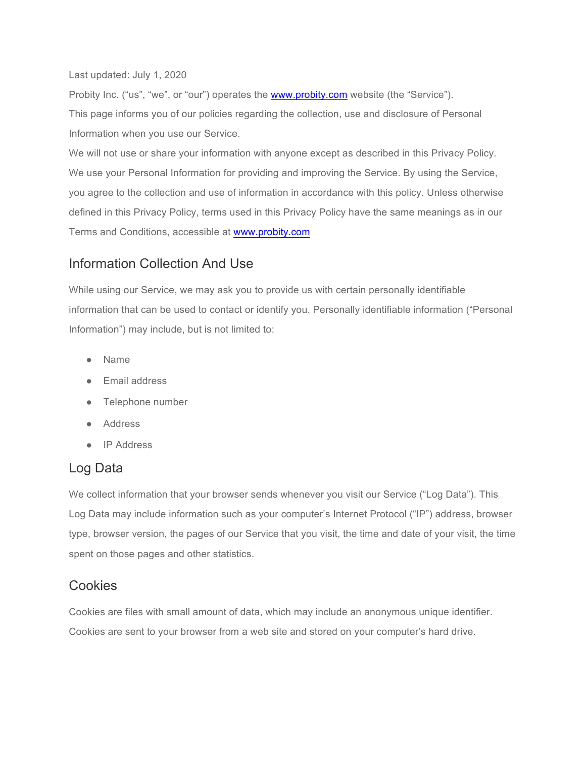Last updated: July 1, 2020

Probity Inc. ("us", "we", or "our") operates the www.probity.com website (the "Service"). This page informs you of our policies regarding the collection, use and disclosure of Personal Information when you use our Service.

We will not use or share your information with anyone except as described in this Privacy Policy. We use your Personal Information for providing and improving the Service. By using the Service, you agree to the collection and use of information in accordance with this policy. Unless otherwise defined in this Privacy Policy, terms used in this Privacy Policy have the same meanings as in our Terms and Conditions, accessible at www.probity.com

#### Information Collection And Use

While using our Service, we may ask you to provide us with certain personally identifiable information that can be used to contact or identify you. Personally identifiable information ("Personal Information") may include, but is not limited to:

- Name
- Email address
- Telephone number
- Address
- IP Address

## Log Data

We collect information that your browser sends whenever you visit our Service ("Log Data"). This Log Data may include information such as your computer's Internet Protocol ("IP") address, browser type, browser version, the pages of our Service that you visit, the time and date of your visit, the time spent on those pages and other statistics.

#### **Cookies**

Cookies are files with small amount of data, which may include an anonymous unique identifier. Cookies are sent to your browser from a web site and stored on your computer's hard drive.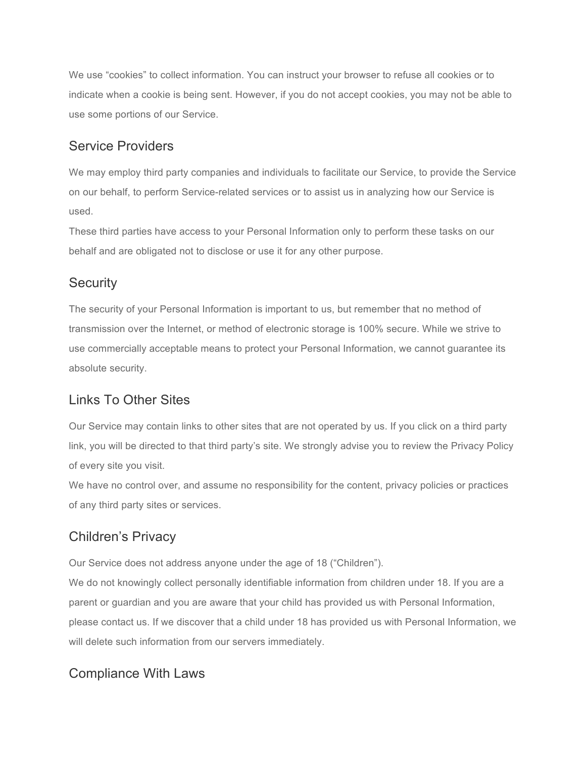We use "cookies" to collect information. You can instruct your browser to refuse all cookies or to indicate when a cookie is being sent. However, if you do not accept cookies, you may not be able to use some portions of our Service.

#### Service Providers

We may employ third party companies and individuals to facilitate our Service, to provide the Service on our behalf, to perform Service-related services or to assist us in analyzing how our Service is used.

These third parties have access to your Personal Information only to perform these tasks on our behalf and are obligated not to disclose or use it for any other purpose.

## **Security**

The security of your Personal Information is important to us, but remember that no method of transmission over the Internet, or method of electronic storage is 100% secure. While we strive to use commercially acceptable means to protect your Personal Information, we cannot guarantee its absolute security.

## Links To Other Sites

Our Service may contain links to other sites that are not operated by us. If you click on a third party link, you will be directed to that third party's site. We strongly advise you to review the Privacy Policy of every site you visit.

We have no control over, and assume no responsibility for the content, privacy policies or practices of any third party sites or services.

# Children's Privacy

Our Service does not address anyone under the age of 18 ("Children").

We do not knowingly collect personally identifiable information from children under 18. If you are a parent or guardian and you are aware that your child has provided us with Personal Information, please contact us. If we discover that a child under 18 has provided us with Personal Information, we will delete such information from our servers immediately.

## Compliance With Laws